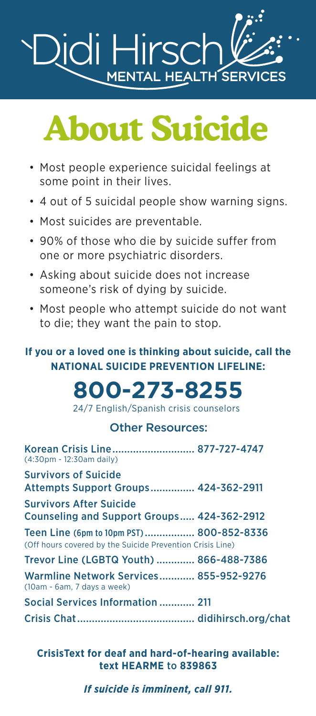

# **About Suicide**

- Most people experience suicidal feelings at some point in their lives.
- 4 out of 5 suicidal people show warning signs.
- Most suicides are preventable.
- 90% of those who die by suicide suffer from one or more psychiatric disorders.
- Asking about suicide does not increase someone's risk of dying by suicide.
- Most people who attempt suicide do not want to die; they want the pain to stop.

#### **If you or a loved one is thinking about suicide, call the NATIONAL SUICIDE PREVENTION LIFELINE:**

## **800-273-8255**

24/7 English/Spanish crisis counselors

#### Other Resources:

| Korean Crisis Line 877-727-4747<br>(4:30pm - 12:30am daily)                                           |
|-------------------------------------------------------------------------------------------------------|
| <b>Survivors of Suicide</b><br>Attempts Support Groups 424-362-2911                                   |
| <b>Survivors After Suicide</b><br>Counseling and Support Groups 424-362-2912                          |
| Teen Line (6pm to 10pm PST) 800-852-8336<br>(Off hours covered by the Suicide Prevention Crisis Line) |
| Trevor Line (LGBTQ Youth)  866-488-7386                                                               |
| Warmline Network Services 855-952-9276<br>(10am - 6am. 7 days a week)                                 |
| Social Services Information  211                                                                      |
|                                                                                                       |

**CrisisText for deaf and hard-of-hearing available: text HEARME** to **839863**

#### *If suicide is imminent, call 911.*